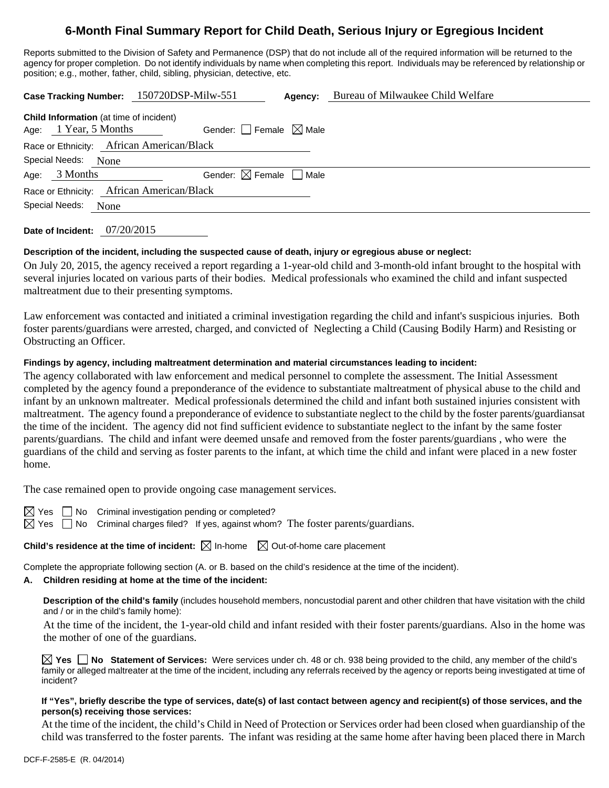# **6-Month Final Summary Report for Child Death, Serious Injury or Egregious Incident**

Reports submitted to the Division of Safety and Permanence (DSP) that do not include all of the required information will be returned to the agency for proper completion. Do not identify individuals by name when completing this report. Individuals may be referenced by relationship or position; e.g., mother, father, child, sibling, physician, detective, etc.

|                                           |                                                                         | Case Tracking Number: 150720DSP-Milw-551 | Agency: | Bureau of Milwaukee Child Welfare |  |  |  |  |  |
|-------------------------------------------|-------------------------------------------------------------------------|------------------------------------------|---------|-----------------------------------|--|--|--|--|--|
|                                           | <b>Child Information</b> (at time of incident)<br>Age: 1 Year, 5 Months | Gender: $\Box$ Female $\boxtimes$ Male   |         |                                   |  |  |  |  |  |
| Race or Ethnicity: African American/Black |                                                                         |                                          |         |                                   |  |  |  |  |  |
| Special Needs: None                       |                                                                         |                                          |         |                                   |  |  |  |  |  |
|                                           | Age: $3$ Months                                                         | Gender: $\boxtimes$ Female $\Box$ Male   |         |                                   |  |  |  |  |  |
| Race or Ethnicity: African American/Black |                                                                         |                                          |         |                                   |  |  |  |  |  |
| Special Needs:                            | None                                                                    |                                          |         |                                   |  |  |  |  |  |

**Date of Incident:** 07/20/2015

### **Description of the incident, including the suspected cause of death, injury or egregious abuse or neglect:**

On July 20, 2015, the agency received a report regarding a 1-year-old child and 3-month-old infant brought to the hospital with several injuries located on various parts of their bodies. Medical professionals who examined the child and infant suspected maltreatment due to their presenting symptoms.

Law enforcement was contacted and initiated a criminal investigation regarding the child and infant's suspicious injuries. Both foster parents/guardians were arrested, charged, and convicted of Neglecting a Child (Causing Bodily Harm) and Resisting or Obstructing an Officer.

### **Findings by agency, including maltreatment determination and material circumstances leading to incident:**

The agency collaborated with law enforcement and medical personnel to complete the assessment. The Initial Assessment completed by the agency found a preponderance of the evidence to substantiate maltreatment of physical abuse to the child and infant by an unknown maltreater. Medical professionals determined the child and infant both sustained injuries consistent with maltreatment. The agency found a preponderance of evidence to substantiate neglect to the child by the foster parents/guardiansat the time of the incident. The agency did not find sufficient evidence to substantiate neglect to the infant by the same foster parents/guardians. The child and infant were deemed unsafe and removed from the foster parents/guardians , who were the guardians of the child and serving as foster parents to the infant, at which time the child and infant were placed in a new foster home.

The case remained open to provide ongoing case management services.

 $\boxtimes$  Yes  $\Box$  No Criminal investigation pending or completed?

 $\boxtimes$  Yes  $\Box$  No Criminal charges filed? If yes, against whom? The foster parents/guardians.

**Child's residence at the time of incident:**  $\boxtimes$  In-home  $\boxtimes$  Out-of-home care placement

Complete the appropriate following section (A. or B. based on the child's residence at the time of the incident).

### **A. Children residing at home at the time of the incident:**

**Description of the child's family** (includes household members, noncustodial parent and other children that have visitation with the child and / or in the child's family home):

 At the time of the incident, the 1-year-old child and infant resided with their foster parents/guardians. Also in the home was the mother of one of the guardians.

**Yes No Statement of Services:** Were services under ch. 48 or ch. 938 being provided to the child, any member of the child's family or alleged maltreater at the time of the incident, including any referrals received by the agency or reports being investigated at time of incident?

#### **If "Yes", briefly describe the type of services, date(s) of last contact between agency and recipient(s) of those services, and the person(s) receiving those services:**

At the time of the incident, the child's Child in Need of Protection or Services order had been closed when guardianship of the child was transferred to the foster parents. The infant was residing at the same home after having been placed there in March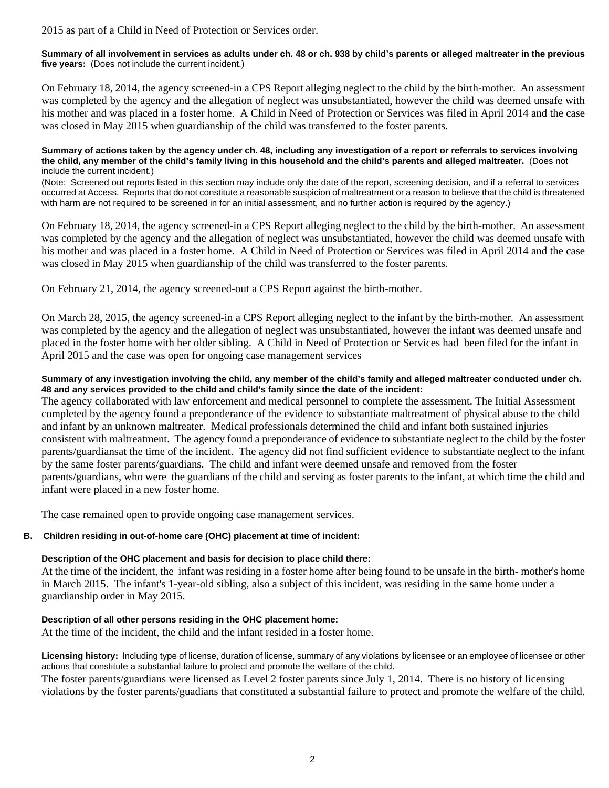2015 as part of a Child in Need of Protection or Services order.

**Summary of all involvement in services as adults under ch. 48 or ch. 938 by child's parents or alleged maltreater in the previous five years:** (Does not include the current incident.)

On February 18, 2014, the agency screened-in a CPS Report alleging neglect to the child by the birth-mother. An assessment was completed by the agency and the allegation of neglect was unsubstantiated, however the child was deemed unsafe with his mother and was placed in a foster home. A Child in Need of Protection or Services was filed in April 2014 and the case was closed in May 2015 when guardianship of the child was transferred to the foster parents.

**Summary of actions taken by the agency under ch. 48, including any investigation of a report or referrals to services involving the child, any member of the child's family living in this household and the child's parents and alleged maltreater.** (Does not include the current incident.)

(Note: Screened out reports listed in this section may include only the date of the report, screening decision, and if a referral to services occurred at Access. Reports that do not constitute a reasonable suspicion of maltreatment or a reason to believe that the child is threatened with harm are not required to be screened in for an initial assessment, and no further action is required by the agency.)

On February 18, 2014, the agency screened-in a CPS Report alleging neglect to the child by the birth-mother. An assessment was completed by the agency and the allegation of neglect was unsubstantiated, however the child was deemed unsafe with his mother and was placed in a foster home. A Child in Need of Protection or Services was filed in April 2014 and the case was closed in May 2015 when guardianship of the child was transferred to the foster parents.

On February 21, 2014, the agency screened-out a CPS Report against the birth-mother.

On March 28, 2015, the agency screened-in a CPS Report alleging neglect to the infant by the birth-mother. An assessment was completed by the agency and the allegation of neglect was unsubstantiated, however the infant was deemed unsafe and placed in the foster home with her older sibling. A Child in Need of Protection or Services had been filed for the infant in April 2015 and the case was open for ongoing case management services

### **Summary of any investigation involving the child, any member of the child's family and alleged maltreater conducted under ch. 48 and any services provided to the child and child's family since the date of the incident:**

The agency collaborated with law enforcement and medical personnel to complete the assessment. The Initial Assessment completed by the agency found a preponderance of the evidence to substantiate maltreatment of physical abuse to the child and infant by an unknown maltreater. Medical professionals determined the child and infant both sustained injuries consistent with maltreatment. The agency found a preponderance of evidence to substantiate neglect to the child by the foster parents/guardiansat the time of the incident. The agency did not find sufficient evidence to substantiate neglect to the infant by the same foster parents/guardians. The child and infant were deemed unsafe and removed from the foster parents/guardians, who were the guardians of the child and serving as foster parents to the infant, at which time the child and infant were placed in a new foster home.

The case remained open to provide ongoing case management services.

### **B. Children residing in out-of-home care (OHC) placement at time of incident:**

### **Description of the OHC placement and basis for decision to place child there:**

At the time of the incident, the infant was residing in a foster home after being found to be unsafe in the birth- mother's home in March 2015. The infant's 1-year-old sibling, also a subject of this incident, was residing in the same home under a guardianship order in May 2015.

### **Description of all other persons residing in the OHC placement home:**

At the time of the incident, the child and the infant resided in a foster home.

**Licensing history:** Including type of license, duration of license, summary of any violations by licensee or an employee of licensee or other actions that constitute a substantial failure to protect and promote the welfare of the child.

The foster parents/guardians were licensed as Level 2 foster parents since July 1, 2014. There is no history of licensing violations by the foster parents/guadians that constituted a substantial failure to protect and promote the welfare of the child.